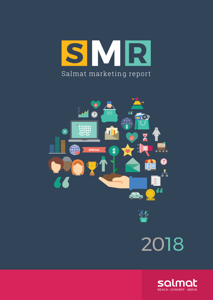# SMR Salmat marketing report







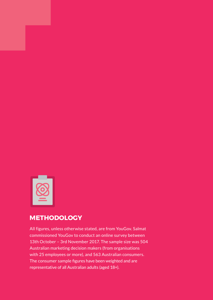

## **METHODOLOGY**

All figures, unless otherwise stated, are from YouGov. Salmat commissioned YouGov to conduct an online survey between 13th October – 3rd November 2017. The sample size was 504 Australian marketing decision makers (from organisations with 25 employees or more), and 563 Australian consumers. The consumer sample figures have been weighted and are representative of all Australian adults (aged 18+).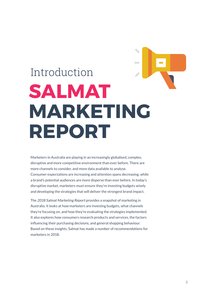# $\sim$  Introduction **SALMAT MARKETING REPORT**

Marketers in Australia are playing in an increasingly globalised, complex, disruptive and more competitive environment than ever before. There are more channels to consider, and more data available to analyse. Consumer expectations are increasing and attention spans decreasing, while a brand's potential audiences are more disperse than ever before. In today's disruptive market, marketers must ensure they're investing budgets wisely and developing the strategies that will deliver the strongest brand impact.

The 2018 Salmat Marketing Report provides a snapshot of marketing in Australia. It looks at how marketers are investing budgets, what channels they're focusing on, and how they're evaluating the strategies implemented. It also explores how consumers research products and services, the factors influencing their purchasing decisions, and general shopping behaviour. Based on these insights, Salmat has made a number of recommendations for marketers in 2018.

3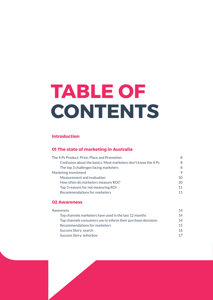# **TABLE OF CONTENTS**

#### **Introduction**

#### **01 The state of marketing in Australia**

| The 4 Ps Product, Price, Place and Promotion                   | 8  |
|----------------------------------------------------------------|----|
| Confusion about the basics: Most marketers don't know the 4 Ps | 8  |
| The top 3 challenges facing marketers                          | 8  |
| Marketing investment                                           | 9  |
| Measurement and evaluation                                     | 10 |
| How often do marketers measure ROI?                            | 10 |
| Top 3 reasons for not measuring ROI                            | 11 |
| Recommendations for marketers                                  |    |
|                                                                |    |

#### **02 Awareness**

| Awareness                                                     | 14 |
|---------------------------------------------------------------|----|
| Top channels marketers have used in the last 12 months        | 14 |
| Top channels consumers use to inform their purchase decisions | 14 |
| Recommendations for marketers                                 | 15 |
| Success Story: search                                         | 16 |
| Success Story: letterbox                                      |    |
|                                                               |    |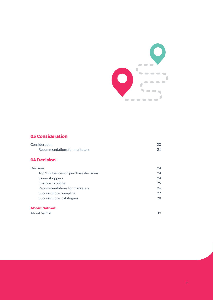

#### **03 Consideration**

| 20 |
|----|
| 21 |
|    |
|    |
| 24 |
| 24 |
| 24 |
| 25 |
| 26 |
| 27 |
| 28 |
|    |
| 30 |
|    |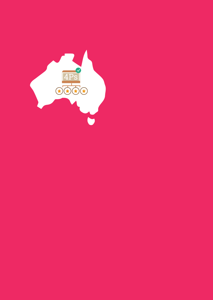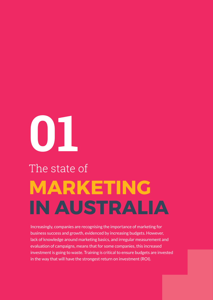

# The state of **MARKETING IN AUSTRALIA**

Increasingly, companies are recognising the importance of marketing for business success and growth, evidenced by increasing budgets. However, lack of knowledge around marketing basics, and irregular measurement and evaluation of campaigns, means that for some companies, this increased investment is going to waste. Training is critical to ensure budgets are invested in the way that will have the strongest return on investment (ROI).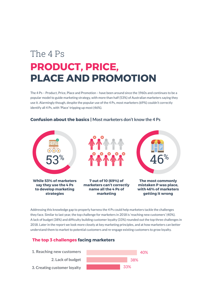# The 4 Ps **PRODUCT, PRICE, PLACE AND PROMOTION**

The 4 Ps – Product, Price, Place and Promotion – have been around since the 1960s and continues to be a popular model to guide marketing strategy, with more than half (53%) of Australian marketers saying they use it. Alarmingly though, despite the popular use of the 4 Ps, most marketers (69%) couldn't correctly identify all 4 Ps, with 'Place' tripping up most (46%).



#### **Confusion about the basics | Most marketers don't know the 4 Ps**

Addressing this knowledge gap to properly harness the 4 Ps could help marketers tackle the challenges they face. Similar to last year, the top challenge for marketers in 2018 is 'reaching new customers' (40%). A lack of budget (38%) and difficulty building customer loyalty (33%) rounded out the top three challenges in 2018. Later in the report we look more closely at key marketing principles, and at how marketers can better understand them to market to potential customers and re-engage existing customers to grow loyalty.

#### **The top 3 challenges facing marketers**

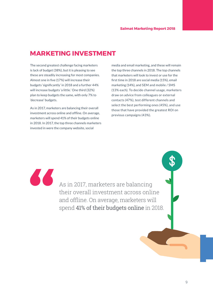#### **MARKETING INVESTMENT**

The second greatest challenge facing marketers is lack of budget (38%), but it is pleasing to see these are steadily increasing for most companies. Almost one in five (17%) will increase their budgets 'significantly' in 2018 and a further 44% will increase budgets 'a little.' One third (32%) plan to keep budgets the same, with only 7% to 'decrease' budgets.

As in 2017, marketers are balancing their overall investment across online and offline. On average, marketers will spend 41% of their budgets online in 2018. In 2017, the top three channels marketers invested in were the company website, social

media and email marketing, and these will remain the top three channels in 2018. The top channels that marketers will look to invest or use for the first time in 2018 are social media (15%), email marketing (14%), and SEM and mobile / SMS (13% each). To decide channel usage, marketers draw on advice from colleagues or external contacts (47%), test different channels and select the best performing ones (45%), and use those that have provided the greatest ROI on previous campaigns (43%).



As in 2017, marketers are balancing their overall investment across online and offline. On average, marketers will spend 41% of their budgets online in 2018.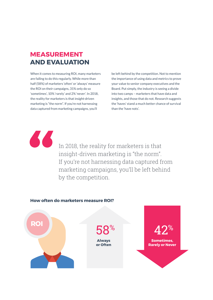## **MEASUREMENT AND EVALUATION**

When it comes to measuring ROI, many marketers are failing to do this regularly. While more than half (58%) of marketers 'often' or 'always' measure the ROI on their campaigns, 31% only do so 'sometimes', 10% 'rarely' and 2% 'never'. In 2018, the reality for marketers is that insight-driven marketing is "the norm". If you're not harnessing data captured from marketing campaigns, you'll

be left behind by the competition. Not to mention the importance of using data and metrics to prove your value to senior company executives and the Board. Put simply, the industry is seeing a divide into two camps – marketers that have data and insights, and those that do not. Research suggests the 'haves' stand a much better chance of survival than the 'have nots'.

In 2018, the reality for marketers is that insight-driven marketing is "the norm". If you're not harnessing data captured from marketing campaigns, you'll be left behind by the competition.

#### **How often do marketers measure ROI?**

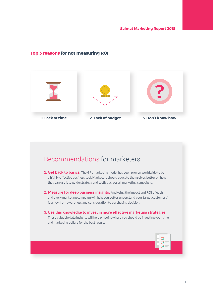#### **Top 3 reasons for not measuring ROI**



## Recommendations for marketers

- **1. Get back to basics:** The 4 Ps marketing model has been proven worldwide to be a highly-effective business tool. Marketers should educate themselves better on how they can use it to guide strategy and tactics across all marketing campaigns.
- **2. Measure for deep business insights:** Analysing the impact and ROI of each and every marketing campaign will help you better understand your target customers' journey from awareness and consideration to purchasing decision.
- **3. Use this knowledge to invest in more effective marketing strategies:**  These valuable data insights will help pinpoint where you should be investing your time and marketing dollars for the best results

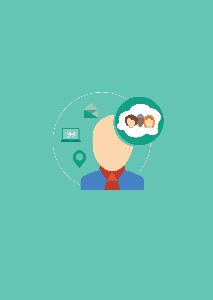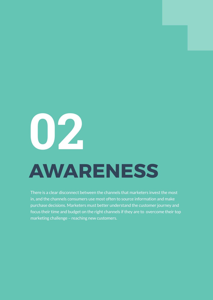

There is a clear disconnect between the channels that marketers invest the most in, and the channels consumers use most often to source information and make purchase decisions. Marketers must better understand the customer journey and focus their time and budget on the right channels if they are to overcome their top marketing challenge – reaching new customers.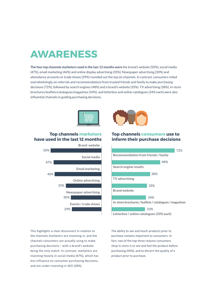# **AWARENESS**

**The four top channels marketers used in the last 12 months were** the brand's website (50%), social media (47%), email marketing (46%) and online display advertising (35%). Newspaper advertising (30%) and attendance at events or trade shows (29%) rounded out the top six channels. In contrast, consumers relied overwhelmingly on referrals and recommendations from trusted friends and family to make purchasing decisions (72%), followed by search engines (48%) and a brand's website (35%). TV advertising (38%), in-store brochures/leaflets/catalogues/magazines (34%), and letterbox and online catalogues (34% each) were also influential channels in guiding purchasing decisions.



#### **Top channels marketers have used in the last 12 months**





#### **Top channels consumers use to inform their purchase decisions**



This highlights a clear disconnect in relation to the channels marketers are investing in, and the channels consumers are actually using to make purchasing decisions – with a brand's website being the only match. In contrast, marketers are investing heavily in social media (47%), which has less influence on consumer purchasing decisions, and are under-investing in SEO (28%).

The ability to see and touch products prior to purchase remains important to consumers. In fact, two of the top three reasons consumers shop in-store is to see and feel the product before purchasing (59%), and to discern the quality of a product prior to purchase.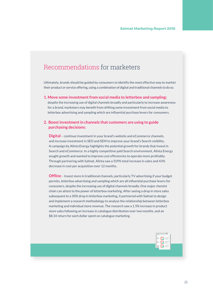## Recommendations for marketers

Ultimately, brands should be guided by consumers to identify the most effective way to market their product or service offering, using a combination of digital and traditional channels to do so.

**1. Move some investment from social media to letterbox and sampling:** 

despite the increasing use of digital channels broadly and particularly to increase awareness for a brand, marketers may benefit from shifting some investment from social media to letterbox advertising and sampling which are influential purchase levers for consumers.

#### **2. Boost investment in channels that customers are using to guide purchasing decisions:**

**Digital** – continue investment in your brand's website and eCommerce channels, and increase investment in SEO and SEM to improve your brand's Search visibility. A campaign by Alinta Energy highlights the potential growth for brands that invest in Search and eCommerce. In a highly competitive paid Search environment, Alinta Energy sought growth and wanted to improve cost efficiencies to operate more profitably. Through partnering with Salmat, Alinta saw a 519% total increase in sales and 43% decrease in cost per acquisition over 12 months.

**Offline** – Invest more in traditional channels, particularly TV advertising if your budget permits, letterbox advertising and sampling which are all influential purchase levers for consumers, despite the increasing use of digital channels broadly. One major chemist chain can attest to the power of letterbox marketing. After seeing a drop in store sales subsequent to a 30% drop in letterbox marketing, it partnered with Salmat to design and implement a research methodology to analyse the relationship between letterbox marketing and individual store revenue. The research saw a 1.5% increase in product store sales following an increase in catalogue distribution over two months, and an \$8.14 return for each dollar spent on catalogue marketing.

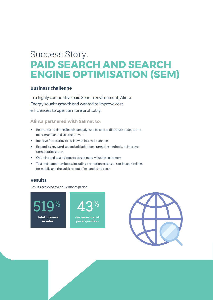# Success Story: **PAID SEARCH AND SEARCH ENGINE OPTIMISATION (SEM)**

#### **Business challenge**

In a highly competitive paid Search environment, Alinta Energy sought growth and wanted to improve cost efficiencies to operate more profitably.

**Alinta partnered with Salmat to:**

- Restructure existing Search campaigns to be able to distribute budgets on a more granular and strategic level
- Improve forecasting to assist with internal planning
- Expand its keyword set and add additional targeting methods, to improve target optimisation
- Optimise and test ad copy to target more valuable customers
- Test and adopt new betas, including promotion extensions or image sitelinks for mobile and the quick rollout of expanded ad copy

#### **Results**

Results achieved over a 12 month period:





**per acquisition** 

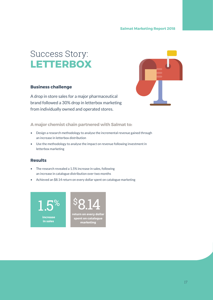#### **Salmat Marketing Report 2018**

## Success Story: **LETTERBOX**

#### **Business challenge**

A drop in store sales for a major pharmaceutical brand followed a 30% drop in letterbox marketing from individually owned and operated stores.



**A major chemist chain partnered with Salmat to:**

- Design a research methodology to analyse the incremental revenue gained through an increase in letterbox distribution
- Use the methodology to analyse the impact on revenue following investment in letterbox marketing

#### **Results**

- The research revealed a 1.5% increase in sales, following an increase in catalogue distribution over two months
- Achieved an \$8.14 return on every dollar spent on catalogue marketing

1.5%  **increase in sales**

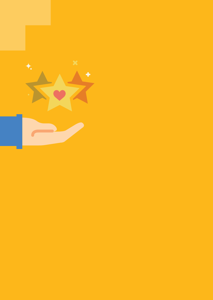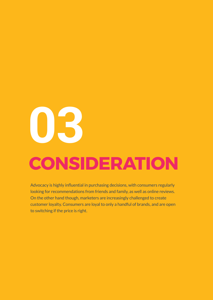# **CONSIDERATION 03**

Advocacy is highly influential in purchasing decisions, with consumers regularly looking for recommendations from friends and family, as well as online reviews. On the other hand though, marketers are increasingly challenged to create customer loyalty. Consumers are loyal to only a handful of brands, and are open to switching if the price is right.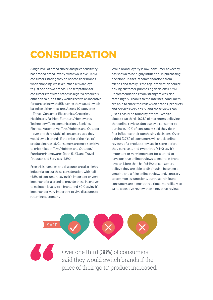# **CONSIDERATION**

A high level of brand choice and price sensitivity has eroded brand loyalty, with two in five (40%) consumers stating they do not consider brands when shopping, while a further 18% are loyal to just one or two brands. The temptation for consumers to switch brands is high if a product is either on sale, or if they would receive an incentive for purchasing with 65% saying they would switch based on either measure. Across 10 categories – Travel, Consumer Electronics, Groceries, Healthcare, Fashion, Furniture/Homewares, Technology/Telecommunications, Banking/ Finance, Automotive, Toys/Hobbies and Outdoor – over one third (38%) of consumers said they would switch brands if the price of their 'go to' product increased. Consumers are most sensitive to price hikes in Toys/Hobbies and Outdoor/ Furniture/Homewares (both 51%), and Travel Products and Services (48%).

Free trials, samples and discounts are also highly influential on purchase consideration, with half (48%) of consumers saying it's important or very important for a brand to provide these incentives to maintain loyalty to a brand, and 60% saying it's important or very important to give discounts to returning customers.

While brand loyalty is low, consumer advocacy has shown to be highly influential in purchasing decisions. In fact, recommendations from friends and family is the top information source driving customer purchasing decisions (72%). Recommendations from strangers was also rated highly. Thanks to the internet, consumers are able to share their views on brands, products and services very easily, and these views can just as easily be found by others. Despite almost two thirds (62%) of marketers believing that online reviews don't sway a consumer to purchase, 40% of consumers said they do in fact influence their purchasing decisions. Over a third (37%) of consumers will check online reviews of a product they see in-store before they purchase, and two thirds (61%) say it's important or very important for a brand to have positive online reviews to maintain brand loyalty. More than half (54%) of consumers believe they are able to distinguish between a genuine and a fake online review, and, contrary to common assumptions, our research found consumers are almost three times more likely to write a positive review than a negative review.



Over one third (38%) of consumers said they would switch brands if the price of their 'go to' product increased.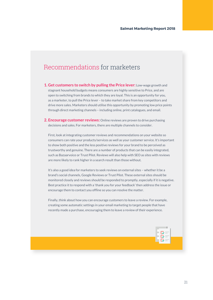## Recommendations for marketers

- **1. Get customers to switch by pulling the Price lever:** Low-wage growth and stagnant household budgets means consumers are highly sensitive to Price, and are open to switching from brands to which they are loyal. This is an opportunity for you, as a marketer, to pull the Price lever – to take market share from key competitors and drive more sales. Marketers should utilise this opportunity by promoting low price points through direct marketing channels – including online, print catalogues, and email.
- **2. Encourage customer reviews:** Online reviews are proven to drive purchasing decisions and sales. For marketers, there are multiple channels to consider.

First, look at integrating customer reviews and recommendations on your website so consumers can rate your products/services as well as your customer service. It's important to show both positive and the less positive reviews for your brand to be perceived as trustworthy and genuine. There are a number of products that can be easily integrated, such as Bazaarvoice or Trust Pilot. Reviews will also help with SEO as sites with reviews are more likely to rank higher in a search result than those without.

It's also a good idea for marketers to seek reviews on external sites – whether it be a brand's social channels, Google Reviews or Trust Pilot. These external sites should be monitored closely and reviews should be responded to promptly, especially if it is negative. Best practice it to respond with a 'thank you for your feedback' then address the issue or encourage them to contact you offline so you can resolve the matter.

Finally, think about how you can encourage customers to leave a review. For example, creating some automatic settings in your email marketing to target people that have recently made a purchase, encouraging them to leave a review of their experience.

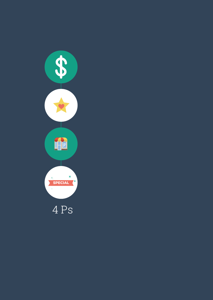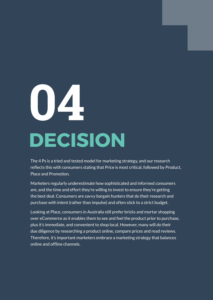# **DECISION 04**

The 4 Ps is a tried and tested model for marketing strategy, and our research reflects this with consumers stating that Price is most critical, followed by Product, Place and Promotion.

Marketers regularly underestimate how sophisticated and informed consumers are, and the time and effort they're willing to invest to ensure they're getting the best deal. Consumers are savvy bargain hunters that do their research and purchase with intent (rather than impulse) and often stick to a strict budget.

Looking at Place, consumers in Australia still prefer bricks and mortar shopping over eCommerce as it enables them to see and feel the product prior to purchase, plus it's immediate, and convenient to shop local. However, many will do their due diligence by researching a product online, compare prices and read reviews. Therefore, it's important marketers embrace a marketing strategy that balances online and offline channels.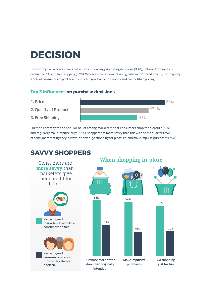# **DECISION**

Price trumps all when it comes to factors influencing purchasing decisions (83%), followed by quality of product (67%) and free shipping (56%). When it comes to maintaining customers' brand loyalty, the majority (85%) of consumers expect brands to offer good value for money and competitive pricing.

#### **Top 3 influences on purchase decisions**

- **1. Price**
- **2. Quality of Product**
- **3. Free Shipping**



Further, contrary to the popular belief among marketers that consumers shop for pleasure (50%) and regularly make impulse buys (54%), shoppers are more savvy than this with only a quarter (25%) of consumers stating they 'always' or 'often' go shopping for pleasure, and make impulse purchases (24%).

#### Consumers are **more savvy** than marketers give them credit for being Percentage of **consumers** who said they do this always or often Percentage of **marketers** that believe consumers do this **Purchase more at the store than originally intended Make impulsive purchases Go shopping just for fun** 56% 54% 50% 31% 24% 25% **When shopping in-store SAVVY SHOPPERS**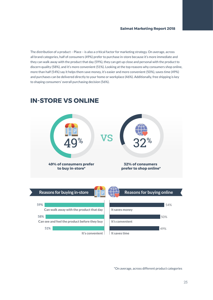#### **Salmat Marketing Report 2018**

The distribution of a product – Place – is also a critical factor for marketing strategy. On average, across all brand categories, half of consumers (49%) prefer to purchase in-store because it's more immediate and they can walk away with the product that day (59%), they can get up close and personal with the product to discern quality (58%), and it's more convenient (51%). Looking at the top reasons why consumers shop online, more than half (54%) say it helps them save money, it's easier and more convenient (50%), saves time (49%) and purchases can be delivered directly to your home or workplace (46%). Additionally, free shipping is key to shaping consumers' overall purchasing decision (56%).



**IN-STORE VS ONLINE**

\*On average, across different product categories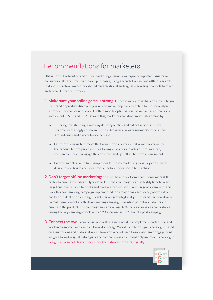## Recommendations for marketers

Utilisation of both online and offline marketing channels are equally important. Australian consumers take the time to research purchases, using a blend of online and offline research to do so. Therefore, marketers should mix traditional and digital marketing channels to reach and convert more customers.

- **1. Make sure your online game is strong:** Our research shows that consumers begin the brand or product discovery journey online or loop back to online to further analyse a product they've seen in-store. Further, mobile optimisation for website is critical, as is investment in SEO and SEM. Beyond this, marketers can drive more sales online by:
	- Offering free shipping, same-day delivery or click and collect services: this will become increasingly critical in the post Amazon-era, as consumers' expectations around quick and easy delivery increase.
	- Offer free returns to remove the barrier for consumers that want to experience the product before purchase. By allowing customers to return items in-store, you can continue to engage the consumer and up-sell in the store environment.
	- Provide samples: send free samples via letterbox marketing to satisfy consumers' desire to see, touch and try a product before they choose to purchase.
- **2. Don't forget offline marketing:** despite the rise of eCommerce, consumers still prefer to purchase in-store. Hyper local letterbox campaigns can be highly beneficial to target customers close to bricks and mortar stores to boost sales. A good example of this is a letterbox sampling campaign implemented for a major haircare brand, where sales had been in decline despite significant market growth globally. The brand partnered with Salmat to implement a letterbox sampling campaign, to entice potential customers to purchase the product. The campaign saw an average 43% increase in sales across stores during the key campaign week, and a 12% increase in the 10 weeks post-campaign.
- **3. Connect the two:** Your online and offline assets need to complement each other, and work in harmony. For example Howard's Storage World used to design its catalogue based on assumptions and historical sales. However, when it used Lasoo's dynamic engagement insights from its digital catalogues, the company was able to not only improve its catalogue design, but also help franchisees stock their stores more strategically.

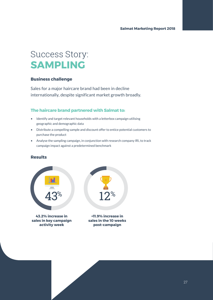# Success Story: **SAMPLING**

#### **Business challenge**

Sales for a major haircare brand had been in decline internationally, despite significant market growth broadly.

#### **The haircare brand partnered with Salmat to:**

- Identify and target relevant households with a letterbox campaign utilising geographic and demographic data
- Distribute a compelling sample and discount offer to entice potential customers to purchase the product
- Analyse the sampling campaign, in conjunction with research company IRi, to track campaign impact against a predetermined benchmark

#### **Results**



**43.2% increase in sales in key campaign activity week**



**+11.9% increase in sales in the 10 weeks post-campaign**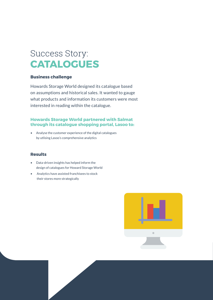# Success Story: **CATALOGUES**

#### **Business challenge**

Howards Storage World designed its catalogue based on assumptions and historical sales. It wanted to gauge what products and information its customers were most interested in reading within the catalogue.

#### **Howards Storage World partnered with Salmat through its catalogue shopping portal, Lasoo to:**

• Analyse the customer experience of the digital catalogues by utlising Lasoo's comprehensive analytics

#### **Results**

- Data-driven insights has helped inform the design of catalogues for Howard Storage World
- Analytics have assisted franchisees to stock their stores more strategically

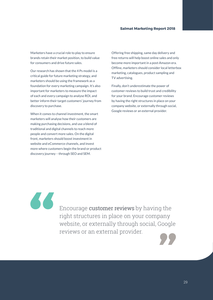Marketers have a crucial role to play to ensure brands retain their market position, to build value for consumers and drive future sales.

Our research has shown that the 4 Ps model is a critical guide for future marketing strategy, and marketers should be using the framework as a foundation for every marketing campaign. It's also important for marketers to measure the impact of each and every campaign to analyse ROI, and better inform their target customers' journey from discovery to purchase.

When it comes to channel investment, the smart marketers will analyse how their customers are making purchasing decisions, and use a blend of traditional and digital channels to reach more people and convert more sales. On the digital front, marketers should boost investment in website and eCommerce channels, and invest more where customers begin the brand or product discovery journey – through SEO and SEM.

Offering free shipping, same day delivery and free returns will help boost online sales and only become more important in a post-Amazon era. Offline, marketers should consider local letterbox marketing, catalogues, product sampling and TV advertising.

Finally, don't underestimate the power of customer reviews to build trust and credibility for your brand. Encourage customer reviews by having the right structures in place on your company website, or externally through social, Google reviews or an external provider.

Encourage customer reviews by having the right structures in place on your company website, or externally through social, Google reviews or an external provider.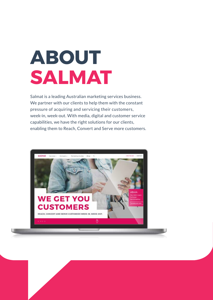# **ABOUT SALMAT**

Salmat is a leading Australian marketing services business. We partner with our clients to help them with the constant pressure of acquiring and servicing their customers, week-in, week-out. With media, digital and customer service capabilities, we have the right solutions for our clients, enabling them to Reach, Convert and Serve more customers.